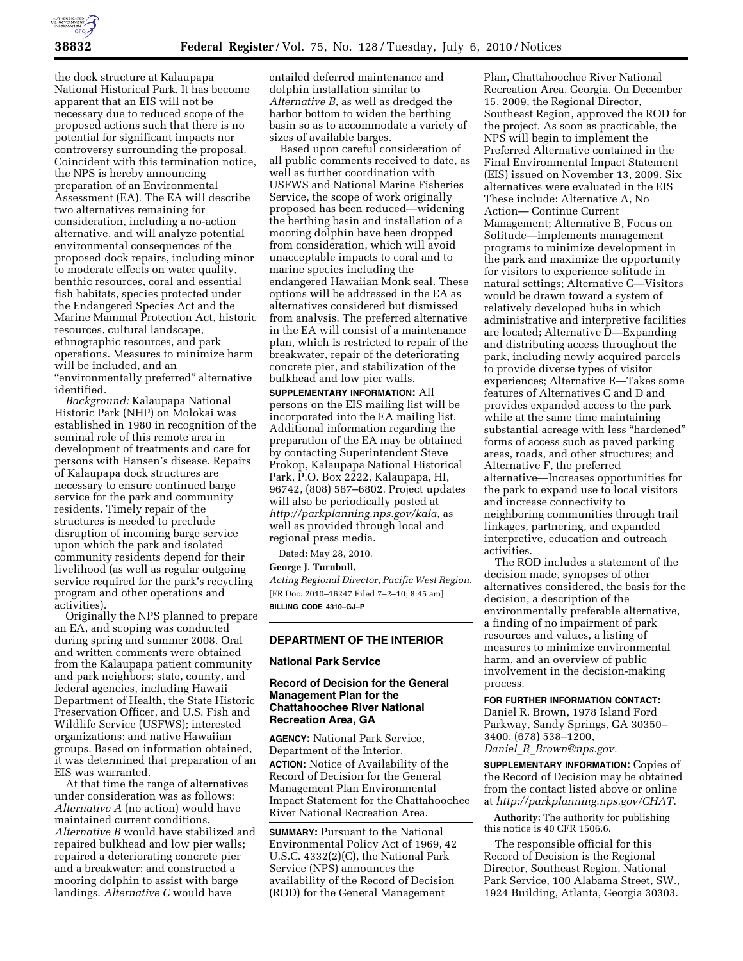

the dock structure at Kalaupapa National Historical Park. It has become apparent that an EIS will not be necessary due to reduced scope of the proposed actions such that there is no potential for significant impacts nor controversy surrounding the proposal. Coincident with this termination notice, the NPS is hereby announcing preparation of an Environmental Assessment (EA). The EA will describe two alternatives remaining for consideration, including a no-action alternative, and will analyze potential environmental consequences of the proposed dock repairs, including minor to moderate effects on water quality, benthic resources, coral and essential fish habitats, species protected under the Endangered Species Act and the Marine Mammal Protection Act, historic resources, cultural landscape, ethnographic resources, and park operations. Measures to minimize harm will be included, and an ''environmentally preferred'' alternative identified.

*Background:* Kalaupapa National Historic Park (NHP) on Molokai was established in 1980 in recognition of the seminal role of this remote area in development of treatments and care for persons with Hansen's disease. Repairs of Kalaupapa dock structures are necessary to ensure continued barge service for the park and community residents. Timely repair of the structures is needed to preclude disruption of incoming barge service upon which the park and isolated community residents depend for their livelihood (as well as regular outgoing service required for the park's recycling program and other operations and activities).

Originally the NPS planned to prepare an EA, and scoping was conducted during spring and summer 2008. Oral and written comments were obtained from the Kalaupapa patient community and park neighbors; state, county, and federal agencies, including Hawaii Department of Health, the State Historic Preservation Officer, and U.S. Fish and Wildlife Service (USFWS); interested organizations; and native Hawaiian groups. Based on information obtained, it was determined that preparation of an EIS was warranted.

At that time the range of alternatives under consideration was as follows: *Alternative A* (no action) would have maintained current conditions. *Alternative B* would have stabilized and repaired bulkhead and low pier walls; repaired a deteriorating concrete pier and a breakwater; and constructed a mooring dolphin to assist with barge landings. *Alternative C* would have

entailed deferred maintenance and dolphin installation similar to *Alternative B,* as well as dredged the harbor bottom to widen the berthing basin so as to accommodate a variety of sizes of available barges.

Based upon careful consideration of all public comments received to date, as well as further coordination with USFWS and National Marine Fisheries Service, the scope of work originally proposed has been reduced—widening the berthing basin and installation of a mooring dolphin have been dropped from consideration, which will avoid unacceptable impacts to coral and to marine species including the endangered Hawaiian Monk seal. These options will be addressed in the EA as alternatives considered but dismissed from analysis. The preferred alternative in the EA will consist of a maintenance plan, which is restricted to repair of the breakwater, repair of the deteriorating concrete pier, and stabilization of the bulkhead and low pier walls.

**SUPPLEMENTARY INFORMATION:** All persons on the EIS mailing list will be incorporated into the EA mailing list. Additional information regarding the preparation of the EA may be obtained by contacting Superintendent Steve Prokop, Kalaupapa National Historical Park, P.O. Box 2222, Kalaupapa, HI, 96742, (808) 567–6802. Project updates will also be periodically posted at *http://parkplanning.nps.gov/kala,* as well as provided through local and regional press media.

Dated: May 28, 2010.

#### **George J. Turnbull,**

*Acting Regional Director, Pacific West Region.*  [FR Doc. 2010–16247 Filed 7–2–10; 8:45 am] **BILLING CODE 4310–GJ–P** 

## **DEPARTMENT OF THE INTERIOR**

### **National Park Service**

## **Record of Decision for the General Management Plan for the Chattahoochee River National Recreation Area, GA**

**AGENCY:** National Park Service, Department of the Interior. **ACTION:** Notice of Availability of the Record of Decision for the General Management Plan Environmental Impact Statement for the Chattahoochee River National Recreation Area.

**SUMMARY:** Pursuant to the National Environmental Policy Act of 1969, 42 U.S.C. 4332(2)(C), the National Park Service (NPS) announces the availability of the Record of Decision (ROD) for the General Management

Plan, Chattahoochee River National Recreation Area, Georgia. On December 15, 2009, the Regional Director, Southeast Region, approved the ROD for the project. As soon as practicable, the NPS will begin to implement the Preferred Alternative contained in the Final Environmental Impact Statement (EIS) issued on November 13, 2009. Six alternatives were evaluated in the EIS These include: Alternative A, No Action— Continue Current Management; Alternative B, Focus on Solitude—implements management programs to minimize development in the park and maximize the opportunity for visitors to experience solitude in natural settings; Alternative C—Visitors would be drawn toward a system of relatively developed hubs in which administrative and interpretive facilities are located; Alternative D—Expanding and distributing access throughout the park, including newly acquired parcels to provide diverse types of visitor experiences; Alternative E—Takes some features of Alternatives C and D and provides expanded access to the park while at the same time maintaining substantial acreage with less ''hardened'' forms of access such as paved parking areas, roads, and other structures; and Alternative F, the preferred alternative—Increases opportunities for the park to expand use to local visitors and increase connectivity to neighboring communities through trail linkages, partnering, and expanded interpretive, education and outreach activities.

The ROD includes a statement of the decision made, synopses of other alternatives considered, the basis for the decision, a description of the environmentally preferable alternative, a finding of no impairment of park resources and values, a listing of measures to minimize environmental harm, and an overview of public involvement in the decision-making process.

**FOR FURTHER INFORMATION CONTACT:**  Daniel R. Brown, 1978 Island Ford Parkway, Sandy Springs, GA 30350– 3400, (678) 538–1200, *Daniel*\_*R*\_*Brown@nps.gov.* 

**SUPPLEMENTARY INFORMATION:** Copies of the Record of Decision may be obtained from the contact listed above or online at *http://parkplanning.nps.gov/CHAT.* 

**Authority:** The authority for publishing this notice is 40 CFR 1506.6.

The responsible official for this Record of Decision is the Regional Director, Southeast Region, National Park Service, 100 Alabama Street, SW., 1924 Building, Atlanta, Georgia 30303.